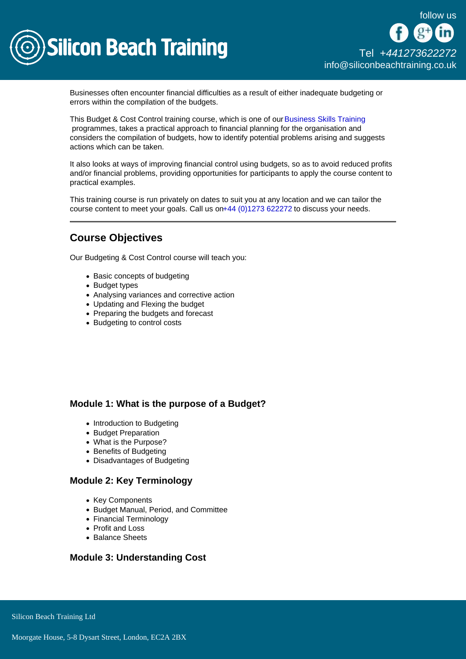

Businesses often encounter financial difficulties as a result of either inadequate budgeting or errors within the compilation of the budgets.

This Budget & Cost Control training course, which is one of our [Business Skills Training](/business-skills-training) programmes, takes a practical approach to financial planning for the organisation and considers the compilation of budgets, how to identify potential problems arising and suggests actions which can be taken.

It also looks at ways of improving financial control using budgets, so as to avoid reduced profits and/or financial problems, providing opportunities for participants to apply the course content to practical examples.

This training course is run privately on dates to suit you at any location and we can tailor the course content to meet your goals. Call us o[n+44 \(0\)1273 622272](tel:441273622272) to discuss your needs.

# Course Objectives

Our Budgeting & Cost Control course will teach you:

- Basic concepts of budgeting
- Budget types
- Analysing variances and corrective action
- Updating and Flexing the budget
- Preparing the budgets and forecast
- Budgeting to control costs

# Module 1: What is the purpose of a Budget?

- Introduction to Budgeting
- Budget Preparation
- What is the Purpose?
- Benefits of Budgeting
- Disadvantages of Budgeting

## Module 2: Key Terminology

- Key Components
- Budget Manual, Period, and Committee
- Financial Terminology
- Profit and Loss
- Balance Sheets

#### Module 3: Understanding Cost

Silicon Beach Training Ltd